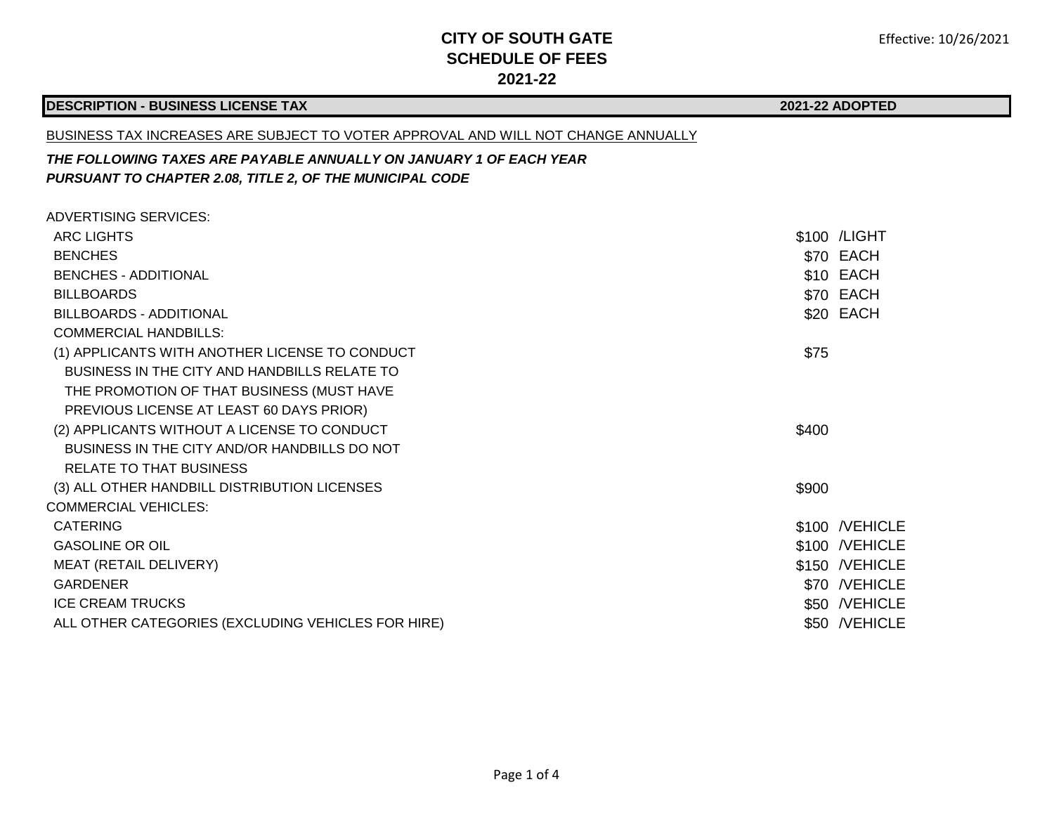### **DESCRIPTION - BUSINESS LICENSE TAX**

#### **2021-22 ADOPTED**

#### BUSINESS TAX INCREASES ARE SUBJECT TO VOTER APPROVAL AND WILL NOT CHANGE ANNUALLY

### *THE FOLLOWING TAXES ARE PAYABLE ANNUALLY ON JANUARY 1 OF EACH YEAR PURSUANT TO CHAPTER 2.08, TITLE 2, OF THE MUNICIPAL CODE*

| ADVERTISING SERVICES:                              |       |                |
|----------------------------------------------------|-------|----------------|
| <b>ARC LIGHTS</b>                                  |       | \$100 / LIGHT  |
| <b>BENCHES</b>                                     |       | \$70 EACH      |
| <b>BENCHES - ADDITIONAL</b>                        |       | \$10 EACH      |
| <b>BILLBOARDS</b>                                  |       | \$70 EACH      |
| <b>BILLBOARDS - ADDITIONAL</b>                     |       | \$20 EACH      |
| <b>COMMERCIAL HANDBILLS:</b>                       |       |                |
| (1) APPLICANTS WITH ANOTHER LICENSE TO CONDUCT     | \$75  |                |
| BUSINESS IN THE CITY AND HANDBILLS RELATE TO       |       |                |
| THE PROMOTION OF THAT BUSINESS (MUST HAVE          |       |                |
| PREVIOUS LICENSE AT LEAST 60 DAYS PRIOR)           |       |                |
| (2) APPLICANTS WITHOUT A LICENSE TO CONDUCT        | \$400 |                |
| BUSINESS IN THE CITY AND/OR HANDBILLS DO NOT       |       |                |
| <b>RELATE TO THAT BUSINESS</b>                     |       |                |
| (3) ALL OTHER HANDBILL DISTRIBUTION LICENSES       | \$900 |                |
| COMMERCIAL VEHICLES:                               |       |                |
| <b>CATERING</b>                                    |       | \$100 /VEHICLE |
| <b>GASOLINE OR OIL</b>                             |       | \$100 /VEHICLE |
| MEAT (RETAIL DELIVERY)                             |       | \$150 /VEHICLE |
| <b>GARDENER</b>                                    |       | \$70 /VEHICLE  |
| <b>ICE CREAM TRUCKS</b>                            |       | \$50 /VEHICLE  |
| ALL OTHER CATEGORIES (EXCLUDING VEHICLES FOR HIRE) |       | \$50 /VEHICLE  |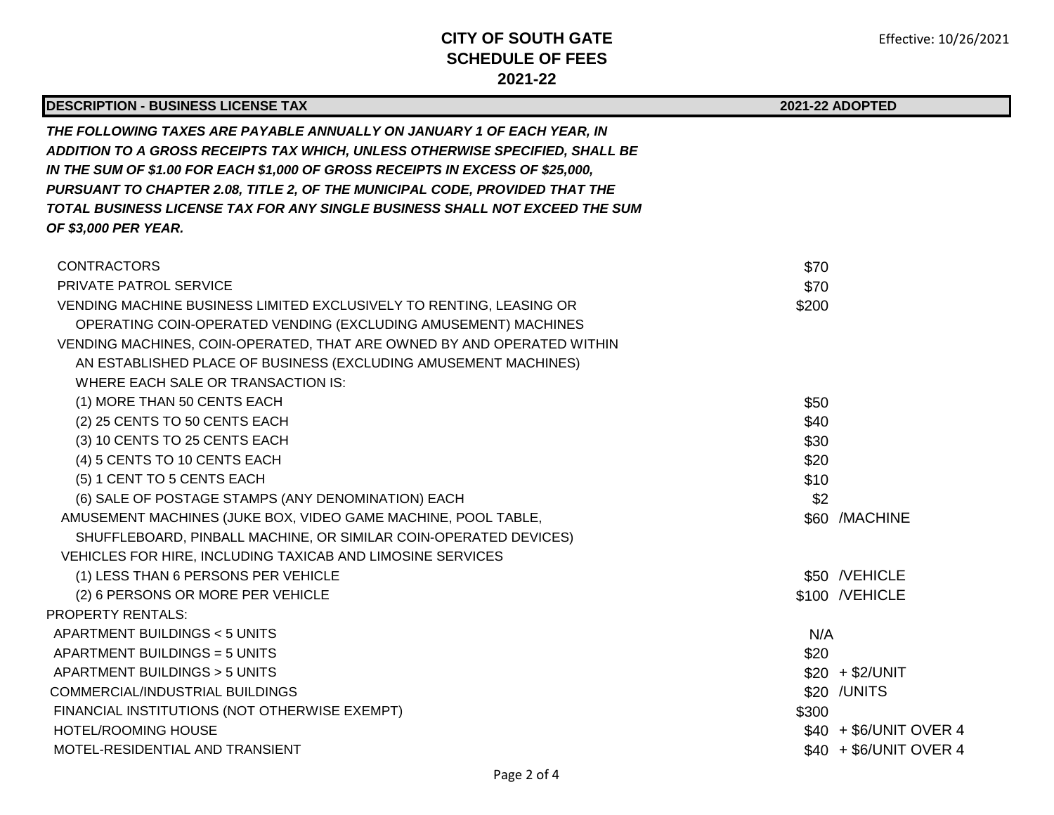| <b>DESCRIPTION - BUSINESS LICENSE TAX</b>                                                                                                                                                                                                                                                                                                                                                                                      |       | 2021-22 ADOPTED        |
|--------------------------------------------------------------------------------------------------------------------------------------------------------------------------------------------------------------------------------------------------------------------------------------------------------------------------------------------------------------------------------------------------------------------------------|-------|------------------------|
| THE FOLLOWING TAXES ARE PAYABLE ANNUALLY ON JANUARY 1 OF EACH YEAR, IN<br>ADDITION TO A GROSS RECEIPTS TAX WHICH, UNLESS OTHERWISE SPECIFIED, SHALL BE<br>IN THE SUM OF \$1.00 FOR EACH \$1,000 OF GROSS RECEIPTS IN EXCESS OF \$25,000,<br>PURSUANT TO CHAPTER 2.08, TITLE 2, OF THE MUNICIPAL CODE, PROVIDED THAT THE<br>TOTAL BUSINESS LICENSE TAX FOR ANY SINGLE BUSINESS SHALL NOT EXCEED THE SUM<br>OF \$3,000 PER YEAR. |       |                        |
| <b>CONTRACTORS</b>                                                                                                                                                                                                                                                                                                                                                                                                             | \$70  |                        |
| PRIVATE PATROL SERVICE                                                                                                                                                                                                                                                                                                                                                                                                         | \$70  |                        |
| VENDING MACHINE BUSINESS LIMITED EXCLUSIVELY TO RENTING, LEASING OR                                                                                                                                                                                                                                                                                                                                                            | \$200 |                        |
| OPERATING COIN-OPERATED VENDING (EXCLUDING AMUSEMENT) MACHINES                                                                                                                                                                                                                                                                                                                                                                 |       |                        |
| VENDING MACHINES, COIN-OPERATED, THAT ARE OWNED BY AND OPERATED WITHIN                                                                                                                                                                                                                                                                                                                                                         |       |                        |
| AN ESTABLISHED PLACE OF BUSINESS (EXCLUDING AMUSEMENT MACHINES)                                                                                                                                                                                                                                                                                                                                                                |       |                        |
| WHERE EACH SALE OR TRANSACTION IS:                                                                                                                                                                                                                                                                                                                                                                                             |       |                        |
| (1) MORE THAN 50 CENTS EACH                                                                                                                                                                                                                                                                                                                                                                                                    | \$50  |                        |
| (2) 25 CENTS TO 50 CENTS EACH                                                                                                                                                                                                                                                                                                                                                                                                  | \$40  |                        |
| (3) 10 CENTS TO 25 CENTS EACH                                                                                                                                                                                                                                                                                                                                                                                                  | \$30  |                        |
| (4) 5 CENTS TO 10 CENTS EACH                                                                                                                                                                                                                                                                                                                                                                                                   | \$20  |                        |
| (5) 1 CENT TO 5 CENTS EACH                                                                                                                                                                                                                                                                                                                                                                                                     | \$10  |                        |
| (6) SALE OF POSTAGE STAMPS (ANY DENOMINATION) EACH                                                                                                                                                                                                                                                                                                                                                                             | \$2   |                        |
| AMUSEMENT MACHINES (JUKE BOX, VIDEO GAME MACHINE, POOL TABLE,                                                                                                                                                                                                                                                                                                                                                                  |       | \$60 /MACHINE          |
| SHUFFLEBOARD, PINBALL MACHINE, OR SIMILAR COIN-OPERATED DEVICES)                                                                                                                                                                                                                                                                                                                                                               |       |                        |
| VEHICLES FOR HIRE, INCLUDING TAXICAB AND LIMOSINE SERVICES                                                                                                                                                                                                                                                                                                                                                                     |       |                        |
| (1) LESS THAN 6 PERSONS PER VEHICLE                                                                                                                                                                                                                                                                                                                                                                                            |       | \$50 /VEHICLE          |
| (2) 6 PERSONS OR MORE PER VEHICLE                                                                                                                                                                                                                                                                                                                                                                                              |       | \$100 /VEHICLE         |
| <b>PROPERTY RENTALS:</b>                                                                                                                                                                                                                                                                                                                                                                                                       |       |                        |
| APARTMENT BUILDINGS < 5 UNITS                                                                                                                                                                                                                                                                                                                                                                                                  | N/A   |                        |
| APARTMENT BUILDINGS = 5 UNITS                                                                                                                                                                                                                                                                                                                                                                                                  | \$20  |                        |
| APARTMENT BUILDINGS > 5 UNITS                                                                                                                                                                                                                                                                                                                                                                                                  |       | $$20 + $2/UNIT$        |
| COMMERCIAL/INDUSTRIAL BUILDINGS                                                                                                                                                                                                                                                                                                                                                                                                |       | \$20 / UNITS           |
| FINANCIAL INSTITUTIONS (NOT OTHERWISE EXEMPT)                                                                                                                                                                                                                                                                                                                                                                                  | \$300 |                        |
| HOTEL/ROOMING HOUSE                                                                                                                                                                                                                                                                                                                                                                                                            |       | \$40 + \$6/UNIT OVER 4 |
| MOTEL-RESIDENTIAL AND TRANSIENT                                                                                                                                                                                                                                                                                                                                                                                                |       | \$40 + \$6/UNIT OVER 4 |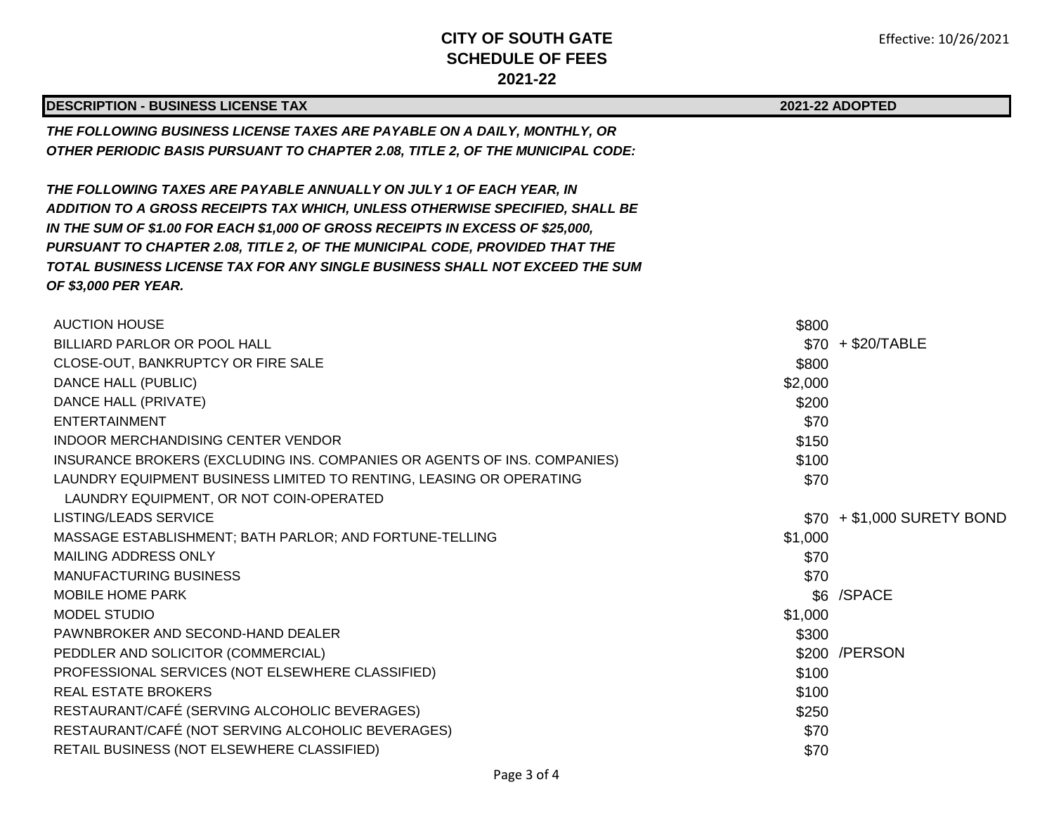| <b>DESCRIPTION - BUSINESS LICENSE TAX</b>                                             |         | 2021-22 ADOPTED            |  |
|---------------------------------------------------------------------------------------|---------|----------------------------|--|
| THE FOLLOWING BUSINESS LICENSE TAXES ARE PAYABLE ON A DAILY, MONTHLY, OR              |         |                            |  |
| <b>OTHER PERIODIC BASIS PURSUANT TO CHAPTER 2.08, TITLE 2, OF THE MUNICIPAL CODE:</b> |         |                            |  |
|                                                                                       |         |                            |  |
| THE FOLLOWING TAXES ARE PAYABLE ANNUALLY ON JULY 1 OF EACH YEAR, IN                   |         |                            |  |
| ADDITION TO A GROSS RECEIPTS TAX WHICH, UNLESS OTHERWISE SPECIFIED, SHALL BE          |         |                            |  |
| IN THE SUM OF \$1.00 FOR EACH \$1,000 OF GROSS RECEIPTS IN EXCESS OF \$25,000,        |         |                            |  |
| PURSUANT TO CHAPTER 2.08, TITLE 2, OF THE MUNICIPAL CODE, PROVIDED THAT THE           |         |                            |  |
| TOTAL BUSINESS LICENSE TAX FOR ANY SINGLE BUSINESS SHALL NOT EXCEED THE SUM           |         |                            |  |
| OF \$3,000 PER YEAR.                                                                  |         |                            |  |
|                                                                                       |         |                            |  |
| <b>AUCTION HOUSE</b>                                                                  | \$800   |                            |  |
| BILLIARD PARLOR OR POOL HALL                                                          |         | $$70 + $20/TABLE$          |  |
| CLOSE-OUT, BANKRUPTCY OR FIRE SALE                                                    | \$800   |                            |  |
| DANCE HALL (PUBLIC)                                                                   | \$2,000 |                            |  |
| DANCE HALL (PRIVATE)                                                                  | \$200   |                            |  |
| <b>ENTERTAINMENT</b>                                                                  | \$70    |                            |  |
| INDOOR MERCHANDISING CENTER VENDOR                                                    | \$150   |                            |  |
| INSURANCE BROKERS (EXCLUDING INS. COMPANIES OR AGENTS OF INS. COMPANIES)              | \$100   |                            |  |
| LAUNDRY EQUIPMENT BUSINESS LIMITED TO RENTING, LEASING OR OPERATING                   | \$70    |                            |  |
| LAUNDRY EQUIPMENT, OR NOT COIN-OPERATED                                               |         |                            |  |
| <b>LISTING/LEADS SERVICE</b>                                                          |         | \$70 + \$1,000 SURETY BOND |  |
| MASSAGE ESTABLISHMENT; BATH PARLOR; AND FORTUNE-TELLING                               | \$1,000 |                            |  |
| MAILING ADDRESS ONLY                                                                  | \$70    |                            |  |
| <b>MANUFACTURING BUSINESS</b>                                                         | \$70    |                            |  |
| MOBILE HOME PARK                                                                      |         | \$6 /SPACE                 |  |
| <b>MODEL STUDIO</b>                                                                   | \$1,000 |                            |  |
| PAWNBROKER AND SECOND-HAND DEALER                                                     | \$300   |                            |  |
| PEDDLER AND SOLICITOR (COMMERCIAL)                                                    |         | \$200 / PERSON             |  |
| PROFESSIONAL SERVICES (NOT ELSEWHERE CLASSIFIED)                                      | \$100   |                            |  |
| <b>REAL ESTATE BROKERS</b>                                                            | \$100   |                            |  |
| RESTAURANT/CAFÉ (SERVING ALCOHOLIC BEVERAGES)                                         | \$250   |                            |  |
| RESTAURANT/CAFÉ (NOT SERVING ALCOHOLIC BEVERAGES)                                     | \$70    |                            |  |
| RETAIL BUSINESS (NOT ELSEWHERE CLASSIFIED)                                            | \$70    |                            |  |